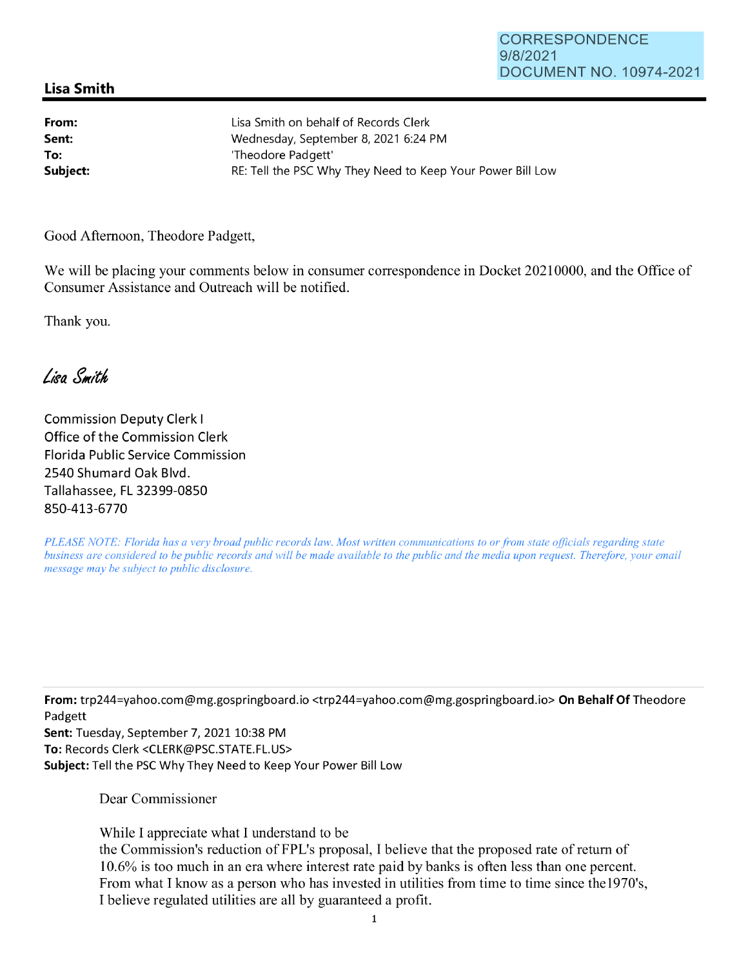## **Lisa Smith**

**From: Sent: To:** 

Lisa Smith on behalf of Records Clerk Wednesday, September 8, 2021 6:24 PM 'Theodore Padgett' **Subject: RE: Tell the PSC Why They Need to Keep Your Power Bill Low** 

Good Afternoon, Theodore Padgett,

We will be placing your comments below in consumer correspondence in Docket 20210000, and the Office of Consumer Assistance and Outreach will be notified.

Thank you.

Lisa Smith

Commission Deputy Clerk I Office of the Commission Clerk Florida Public Service Commission 2540 Shumard Oak Blvd. Tallahassee, FL 32399-0850 850-413-6770

*PLEASE NOTE: Florida has a very broad public records law. Most written communications to or from state officials regarding state business are considered to be public records and will be made available to the public and the media upon request. Therefore, your email message may be subject to public disclosure.* 

**From:** trp244=yahoo.com@mg.gospringboard.io <trp244=yahoo.com@mg.gospringboard.io> **On Behalf Of** Theodore Padgett

**Sent:** Tuesday, September 7, 2021 10:38 PM **To:** Records Clerk <CLERK@PSC.STATE.FL.US> **Subject:** Tell the PSC Why They Need to Keep Your Power Bill Low

Dear Commissioner

While I appreciate what I understand to be the Commission's reduction of FPL's proposal, I believe that the proposed rate of return of 10.6% is too much in an era where interest rate paid by banks is often less than one percent. From what I know as a person who has invested in utilities from time to time since thel970's, I believe regulated utilities are all by guaranteed a profit.